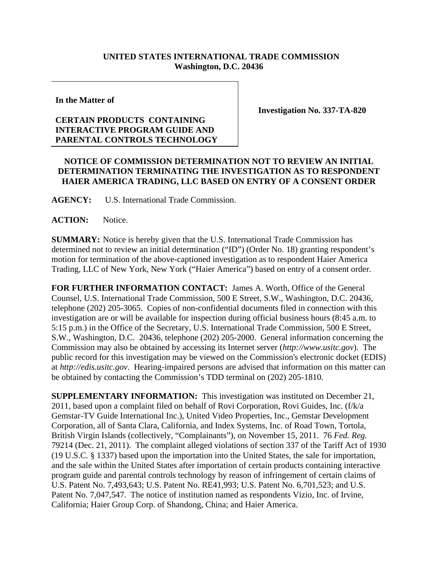## **UNITED STATES INTERNATIONAL TRADE COMMISSION Washington, D.C. 20436**

**In the Matter of** 

## **CERTAIN PRODUCTS CONTAINING INTERACTIVE PROGRAM GUIDE AND PARENTAL CONTROLS TECHNOLOGY**

**Investigation No. 337-TA-820** 

## **NOTICE OF COMMISSION DETERMINATION NOT TO REVIEW AN INITIAL DETERMINATION TERMINATING THE INVESTIGATION AS TO RESPONDENT HAIER AMERICA TRADING, LLC BASED ON ENTRY OF A CONSENT ORDER**

**AGENCY:** U.S. International Trade Commission.

ACTION: Notice.

**SUMMARY:** Notice is hereby given that the U.S. International Trade Commission has determined not to review an initial determination ("ID") (Order No. 18) granting respondent's motion for termination of the above-captioned investigation as to respondent Haier America Trading, LLC of New York, New York ("Haier America") based on entry of a consent order.

**FOR FURTHER INFORMATION CONTACT:** James A. Worth, Office of the General Counsel, U.S. International Trade Commission, 500 E Street, S.W., Washington, D.C. 20436, telephone (202) 205-3065. Copies of non-confidential documents filed in connection with this investigation are or will be available for inspection during official business hours (8:45 a.m. to 5:15 p.m.) in the Office of the Secretary, U.S. International Trade Commission, 500 E Street, S.W., Washington, D.C. 20436, telephone (202) 205-2000. General information concerning the Commission may also be obtained by accessing its Internet server (*http://www.usitc.gov*). The public record for this investigation may be viewed on the Commission's electronic docket (EDIS) at *http://edis.usitc.gov*. Hearing-impaired persons are advised that information on this matter can be obtained by contacting the Commission's TDD terminal on (202) 205-1810.

**SUPPLEMENTARY INFORMATION:** This investigation was instituted on December 21, 2011, based upon a complaint filed on behalf of Rovi Corporation, Rovi Guides, Inc. (f/k/a Gemstar-TV Guide International Inc.), United Video Properties, Inc., Gemstar Development Corporation, all of Santa Clara, California, and Index Systems, Inc. of Road Town, Tortola, British Virgin Islands (collectively, "Complainants"), on November 15, 2011. 76 *Fed. Reg.*  79214 (Dec. 21, 2011). The complaint alleged violations of section 337 of the Tariff Act of 1930 (19 U.S.C. § 1337) based upon the importation into the United States, the sale for importation, and the sale within the United States after importation of certain products containing interactive program guide and parental controls technology by reason of infringement of certain claims of U.S. Patent No. 7,493,643; U.S. Patent No. RE41,993; U.S. Patent No. 6,701,523; and U.S. Patent No. 7,047,547. The notice of institution named as respondents Vizio, Inc. of Irvine, California; Haier Group Corp. of Shandong, China; and Haier America.